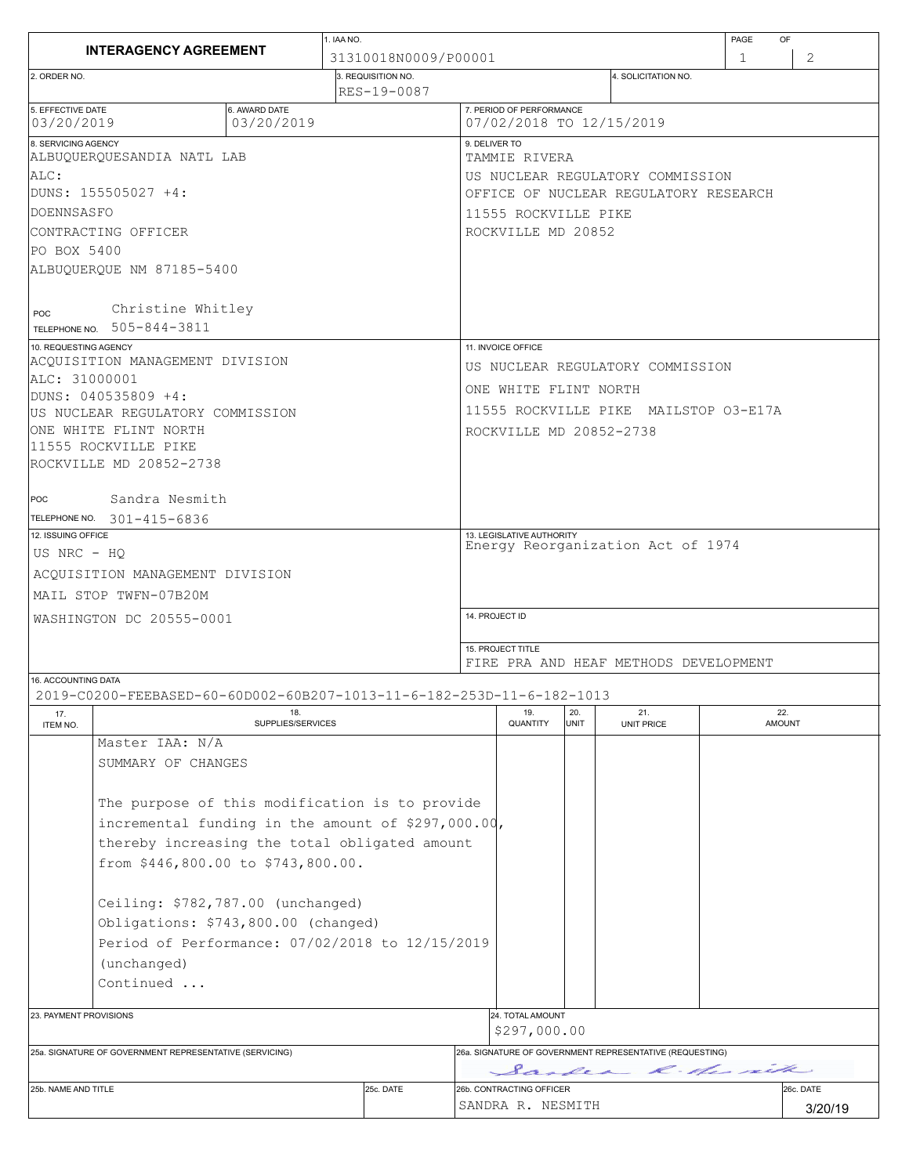| 2<br>31310018N0009/P00001<br>1<br>3. REQUISITION NO.<br>4. SOLICITATION NO.<br>2. ORDER NO.<br>RES-19-0087<br>5. EFFECTIVE DATE<br>7. PERIOD OF PERFORMANCE<br>6. AWARD DATE<br>03/20/2019<br>07/02/2018 TO 12/15/2019<br>03/20/2019<br>8. SERVICING AGENCY<br>9. DELIVER TO<br>ALBUQUERQUESANDIA NATL LAB<br>TAMMIE RIVERA<br>ALC:<br>US NUCLEAR REGULATORY COMMISSION<br>IDUNS: 155505027 +4:<br>OFFICE OF NUCLEAR REGULATORY RESEARCH<br>DOENNSASFO<br>11555 ROCKVILLE PIKE<br>CONTRACTING OFFICER<br>ROCKVILLE MD 20852<br>PO BOX 5400<br>ALBUQUERQUE NM 87185-5400<br>Christine Whitley<br>POC<br>TELEPHONE NO. 505-844-3811<br>10. REQUESTING AGENCY<br>11. INVOICE OFFICE<br>ACQUISITION MANAGEMENT DIVISION<br>US NUCLEAR REGULATORY COMMISSION<br>ALC: 31000001<br>ONE WHITE FLINT NORTH<br> DUNS: 040535809 +4:<br>11555 ROCKVILLE PIKE MAILSTOP 03-E17A<br>US NUCLEAR REGULATORY COMMISSION<br>ONE WHITE FLINT NORTH<br>ROCKVILLE MD 20852-2738<br>11555 ROCKVILLE PIKE<br>ROCKVILLE MD 20852-2738<br>Sandra Nesmith<br>POC<br>TELEPHONE NO. 301-415-6836<br>12. ISSUING OFFICE<br>13. LEGISLATIVE AUTHORITY<br>Energy Reorganization Act of 1974<br>US NRC - HO<br>ACOUISITION MANAGEMENT DIVISION<br>MAIL STOP TWFN-07B20M<br>14. PROJECT ID<br>WASHINGTON DC 20555-0001<br>15. PROJECT TITLE<br>FIRE PRA AND HEAF METHODS DEVELOPMENT<br>16. ACCOUNTING DATA<br>2019-C0200-FEEBASED-60-60D002-60B207-1013-11-6-182-253D-11-6-182-1013<br>22.<br>19.<br>20.<br>18.<br>21.<br>17.<br>QUANTITY<br><b>UNIT</b><br>SUPPLIES/SERVICES<br><b>UNIT PRICE</b><br><b>AMOUNT</b><br>ITEM NO.<br>Master IAA: N/A<br>SUMMARY OF CHANGES<br>The purpose of this modification is to provide<br>incremental funding in the amount of \$297,000.00,<br>thereby increasing the total obligated amount<br>from \$446,800.00 to \$743,800.00.<br>Ceiling: \$782,787.00 (unchanged)<br>Obligations: \$743,800.00 (changed)<br>Period of Performance: 07/02/2018 to 12/15/2019<br>(unchanged)<br>Continued<br>24. TOTAL AMOUNT<br>23. PAYMENT PROVISIONS<br>\$297,000.00<br>26a. SIGNATURE OF GOVERNMENT REPRESENTATIVE (REQUESTING)<br>25a. SIGNATURE OF GOVERNMENT REPRESENTATIVE (SERVICING)<br>Sandea R. Her sith<br>25c. DATE<br>26b. CONTRACTING OFFICER<br>26c. DATE<br>25b. NAME AND TITLE<br>SANDRA R. NESMITH<br>3/20/19 |                              |  |  | 1. IAA NO. |  |  |  |  |  | PAGE<br>OF |  |
|----------------------------------------------------------------------------------------------------------------------------------------------------------------------------------------------------------------------------------------------------------------------------------------------------------------------------------------------------------------------------------------------------------------------------------------------------------------------------------------------------------------------------------------------------------------------------------------------------------------------------------------------------------------------------------------------------------------------------------------------------------------------------------------------------------------------------------------------------------------------------------------------------------------------------------------------------------------------------------------------------------------------------------------------------------------------------------------------------------------------------------------------------------------------------------------------------------------------------------------------------------------------------------------------------------------------------------------------------------------------------------------------------------------------------------------------------------------------------------------------------------------------------------------------------------------------------------------------------------------------------------------------------------------------------------------------------------------------------------------------------------------------------------------------------------------------------------------------------------------------------------------------------------------------------------------------------------------------------------------------------------------------------------------------------------------------------------------------------------------------------------------------------------------------------------------------------------------------------------------------------------------------------------------------------------------------------|------------------------------|--|--|------------|--|--|--|--|--|------------|--|
|                                                                                                                                                                                                                                                                                                                                                                                                                                                                                                                                                                                                                                                                                                                                                                                                                                                                                                                                                                                                                                                                                                                                                                                                                                                                                                                                                                                                                                                                                                                                                                                                                                                                                                                                                                                                                                                                                                                                                                                                                                                                                                                                                                                                                                                                                                                            | <b>INTERAGENCY AGREEMENT</b> |  |  |            |  |  |  |  |  |            |  |
|                                                                                                                                                                                                                                                                                                                                                                                                                                                                                                                                                                                                                                                                                                                                                                                                                                                                                                                                                                                                                                                                                                                                                                                                                                                                                                                                                                                                                                                                                                                                                                                                                                                                                                                                                                                                                                                                                                                                                                                                                                                                                                                                                                                                                                                                                                                            |                              |  |  |            |  |  |  |  |  |            |  |
|                                                                                                                                                                                                                                                                                                                                                                                                                                                                                                                                                                                                                                                                                                                                                                                                                                                                                                                                                                                                                                                                                                                                                                                                                                                                                                                                                                                                                                                                                                                                                                                                                                                                                                                                                                                                                                                                                                                                                                                                                                                                                                                                                                                                                                                                                                                            |                              |  |  |            |  |  |  |  |  |            |  |
|                                                                                                                                                                                                                                                                                                                                                                                                                                                                                                                                                                                                                                                                                                                                                                                                                                                                                                                                                                                                                                                                                                                                                                                                                                                                                                                                                                                                                                                                                                                                                                                                                                                                                                                                                                                                                                                                                                                                                                                                                                                                                                                                                                                                                                                                                                                            |                              |  |  |            |  |  |  |  |  |            |  |
|                                                                                                                                                                                                                                                                                                                                                                                                                                                                                                                                                                                                                                                                                                                                                                                                                                                                                                                                                                                                                                                                                                                                                                                                                                                                                                                                                                                                                                                                                                                                                                                                                                                                                                                                                                                                                                                                                                                                                                                                                                                                                                                                                                                                                                                                                                                            |                              |  |  |            |  |  |  |  |  |            |  |
|                                                                                                                                                                                                                                                                                                                                                                                                                                                                                                                                                                                                                                                                                                                                                                                                                                                                                                                                                                                                                                                                                                                                                                                                                                                                                                                                                                                                                                                                                                                                                                                                                                                                                                                                                                                                                                                                                                                                                                                                                                                                                                                                                                                                                                                                                                                            |                              |  |  |            |  |  |  |  |  |            |  |
|                                                                                                                                                                                                                                                                                                                                                                                                                                                                                                                                                                                                                                                                                                                                                                                                                                                                                                                                                                                                                                                                                                                                                                                                                                                                                                                                                                                                                                                                                                                                                                                                                                                                                                                                                                                                                                                                                                                                                                                                                                                                                                                                                                                                                                                                                                                            |                              |  |  |            |  |  |  |  |  |            |  |
|                                                                                                                                                                                                                                                                                                                                                                                                                                                                                                                                                                                                                                                                                                                                                                                                                                                                                                                                                                                                                                                                                                                                                                                                                                                                                                                                                                                                                                                                                                                                                                                                                                                                                                                                                                                                                                                                                                                                                                                                                                                                                                                                                                                                                                                                                                                            |                              |  |  |            |  |  |  |  |  |            |  |
|                                                                                                                                                                                                                                                                                                                                                                                                                                                                                                                                                                                                                                                                                                                                                                                                                                                                                                                                                                                                                                                                                                                                                                                                                                                                                                                                                                                                                                                                                                                                                                                                                                                                                                                                                                                                                                                                                                                                                                                                                                                                                                                                                                                                                                                                                                                            |                              |  |  |            |  |  |  |  |  |            |  |
|                                                                                                                                                                                                                                                                                                                                                                                                                                                                                                                                                                                                                                                                                                                                                                                                                                                                                                                                                                                                                                                                                                                                                                                                                                                                                                                                                                                                                                                                                                                                                                                                                                                                                                                                                                                                                                                                                                                                                                                                                                                                                                                                                                                                                                                                                                                            |                              |  |  |            |  |  |  |  |  |            |  |
|                                                                                                                                                                                                                                                                                                                                                                                                                                                                                                                                                                                                                                                                                                                                                                                                                                                                                                                                                                                                                                                                                                                                                                                                                                                                                                                                                                                                                                                                                                                                                                                                                                                                                                                                                                                                                                                                                                                                                                                                                                                                                                                                                                                                                                                                                                                            |                              |  |  |            |  |  |  |  |  |            |  |
|                                                                                                                                                                                                                                                                                                                                                                                                                                                                                                                                                                                                                                                                                                                                                                                                                                                                                                                                                                                                                                                                                                                                                                                                                                                                                                                                                                                                                                                                                                                                                                                                                                                                                                                                                                                                                                                                                                                                                                                                                                                                                                                                                                                                                                                                                                                            |                              |  |  |            |  |  |  |  |  |            |  |
|                                                                                                                                                                                                                                                                                                                                                                                                                                                                                                                                                                                                                                                                                                                                                                                                                                                                                                                                                                                                                                                                                                                                                                                                                                                                                                                                                                                                                                                                                                                                                                                                                                                                                                                                                                                                                                                                                                                                                                                                                                                                                                                                                                                                                                                                                                                            |                              |  |  |            |  |  |  |  |  |            |  |
|                                                                                                                                                                                                                                                                                                                                                                                                                                                                                                                                                                                                                                                                                                                                                                                                                                                                                                                                                                                                                                                                                                                                                                                                                                                                                                                                                                                                                                                                                                                                                                                                                                                                                                                                                                                                                                                                                                                                                                                                                                                                                                                                                                                                                                                                                                                            |                              |  |  |            |  |  |  |  |  |            |  |
|                                                                                                                                                                                                                                                                                                                                                                                                                                                                                                                                                                                                                                                                                                                                                                                                                                                                                                                                                                                                                                                                                                                                                                                                                                                                                                                                                                                                                                                                                                                                                                                                                                                                                                                                                                                                                                                                                                                                                                                                                                                                                                                                                                                                                                                                                                                            |                              |  |  |            |  |  |  |  |  |            |  |
|                                                                                                                                                                                                                                                                                                                                                                                                                                                                                                                                                                                                                                                                                                                                                                                                                                                                                                                                                                                                                                                                                                                                                                                                                                                                                                                                                                                                                                                                                                                                                                                                                                                                                                                                                                                                                                                                                                                                                                                                                                                                                                                                                                                                                                                                                                                            |                              |  |  |            |  |  |  |  |  |            |  |
|                                                                                                                                                                                                                                                                                                                                                                                                                                                                                                                                                                                                                                                                                                                                                                                                                                                                                                                                                                                                                                                                                                                                                                                                                                                                                                                                                                                                                                                                                                                                                                                                                                                                                                                                                                                                                                                                                                                                                                                                                                                                                                                                                                                                                                                                                                                            |                              |  |  |            |  |  |  |  |  |            |  |
|                                                                                                                                                                                                                                                                                                                                                                                                                                                                                                                                                                                                                                                                                                                                                                                                                                                                                                                                                                                                                                                                                                                                                                                                                                                                                                                                                                                                                                                                                                                                                                                                                                                                                                                                                                                                                                                                                                                                                                                                                                                                                                                                                                                                                                                                                                                            |                              |  |  |            |  |  |  |  |  |            |  |
|                                                                                                                                                                                                                                                                                                                                                                                                                                                                                                                                                                                                                                                                                                                                                                                                                                                                                                                                                                                                                                                                                                                                                                                                                                                                                                                                                                                                                                                                                                                                                                                                                                                                                                                                                                                                                                                                                                                                                                                                                                                                                                                                                                                                                                                                                                                            |                              |  |  |            |  |  |  |  |  |            |  |
|                                                                                                                                                                                                                                                                                                                                                                                                                                                                                                                                                                                                                                                                                                                                                                                                                                                                                                                                                                                                                                                                                                                                                                                                                                                                                                                                                                                                                                                                                                                                                                                                                                                                                                                                                                                                                                                                                                                                                                                                                                                                                                                                                                                                                                                                                                                            |                              |  |  |            |  |  |  |  |  |            |  |
|                                                                                                                                                                                                                                                                                                                                                                                                                                                                                                                                                                                                                                                                                                                                                                                                                                                                                                                                                                                                                                                                                                                                                                                                                                                                                                                                                                                                                                                                                                                                                                                                                                                                                                                                                                                                                                                                                                                                                                                                                                                                                                                                                                                                                                                                                                                            |                              |  |  |            |  |  |  |  |  |            |  |
|                                                                                                                                                                                                                                                                                                                                                                                                                                                                                                                                                                                                                                                                                                                                                                                                                                                                                                                                                                                                                                                                                                                                                                                                                                                                                                                                                                                                                                                                                                                                                                                                                                                                                                                                                                                                                                                                                                                                                                                                                                                                                                                                                                                                                                                                                                                            |                              |  |  |            |  |  |  |  |  |            |  |
|                                                                                                                                                                                                                                                                                                                                                                                                                                                                                                                                                                                                                                                                                                                                                                                                                                                                                                                                                                                                                                                                                                                                                                                                                                                                                                                                                                                                                                                                                                                                                                                                                                                                                                                                                                                                                                                                                                                                                                                                                                                                                                                                                                                                                                                                                                                            |                              |  |  |            |  |  |  |  |  |            |  |
|                                                                                                                                                                                                                                                                                                                                                                                                                                                                                                                                                                                                                                                                                                                                                                                                                                                                                                                                                                                                                                                                                                                                                                                                                                                                                                                                                                                                                                                                                                                                                                                                                                                                                                                                                                                                                                                                                                                                                                                                                                                                                                                                                                                                                                                                                                                            |                              |  |  |            |  |  |  |  |  |            |  |
|                                                                                                                                                                                                                                                                                                                                                                                                                                                                                                                                                                                                                                                                                                                                                                                                                                                                                                                                                                                                                                                                                                                                                                                                                                                                                                                                                                                                                                                                                                                                                                                                                                                                                                                                                                                                                                                                                                                                                                                                                                                                                                                                                                                                                                                                                                                            |                              |  |  |            |  |  |  |  |  |            |  |
|                                                                                                                                                                                                                                                                                                                                                                                                                                                                                                                                                                                                                                                                                                                                                                                                                                                                                                                                                                                                                                                                                                                                                                                                                                                                                                                                                                                                                                                                                                                                                                                                                                                                                                                                                                                                                                                                                                                                                                                                                                                                                                                                                                                                                                                                                                                            |                              |  |  |            |  |  |  |  |  |            |  |
|                                                                                                                                                                                                                                                                                                                                                                                                                                                                                                                                                                                                                                                                                                                                                                                                                                                                                                                                                                                                                                                                                                                                                                                                                                                                                                                                                                                                                                                                                                                                                                                                                                                                                                                                                                                                                                                                                                                                                                                                                                                                                                                                                                                                                                                                                                                            |                              |  |  |            |  |  |  |  |  |            |  |
|                                                                                                                                                                                                                                                                                                                                                                                                                                                                                                                                                                                                                                                                                                                                                                                                                                                                                                                                                                                                                                                                                                                                                                                                                                                                                                                                                                                                                                                                                                                                                                                                                                                                                                                                                                                                                                                                                                                                                                                                                                                                                                                                                                                                                                                                                                                            |                              |  |  |            |  |  |  |  |  |            |  |
|                                                                                                                                                                                                                                                                                                                                                                                                                                                                                                                                                                                                                                                                                                                                                                                                                                                                                                                                                                                                                                                                                                                                                                                                                                                                                                                                                                                                                                                                                                                                                                                                                                                                                                                                                                                                                                                                                                                                                                                                                                                                                                                                                                                                                                                                                                                            |                              |  |  |            |  |  |  |  |  |            |  |
|                                                                                                                                                                                                                                                                                                                                                                                                                                                                                                                                                                                                                                                                                                                                                                                                                                                                                                                                                                                                                                                                                                                                                                                                                                                                                                                                                                                                                                                                                                                                                                                                                                                                                                                                                                                                                                                                                                                                                                                                                                                                                                                                                                                                                                                                                                                            |                              |  |  |            |  |  |  |  |  |            |  |
|                                                                                                                                                                                                                                                                                                                                                                                                                                                                                                                                                                                                                                                                                                                                                                                                                                                                                                                                                                                                                                                                                                                                                                                                                                                                                                                                                                                                                                                                                                                                                                                                                                                                                                                                                                                                                                                                                                                                                                                                                                                                                                                                                                                                                                                                                                                            |                              |  |  |            |  |  |  |  |  |            |  |
|                                                                                                                                                                                                                                                                                                                                                                                                                                                                                                                                                                                                                                                                                                                                                                                                                                                                                                                                                                                                                                                                                                                                                                                                                                                                                                                                                                                                                                                                                                                                                                                                                                                                                                                                                                                                                                                                                                                                                                                                                                                                                                                                                                                                                                                                                                                            |                              |  |  |            |  |  |  |  |  |            |  |
|                                                                                                                                                                                                                                                                                                                                                                                                                                                                                                                                                                                                                                                                                                                                                                                                                                                                                                                                                                                                                                                                                                                                                                                                                                                                                                                                                                                                                                                                                                                                                                                                                                                                                                                                                                                                                                                                                                                                                                                                                                                                                                                                                                                                                                                                                                                            |                              |  |  |            |  |  |  |  |  |            |  |
|                                                                                                                                                                                                                                                                                                                                                                                                                                                                                                                                                                                                                                                                                                                                                                                                                                                                                                                                                                                                                                                                                                                                                                                                                                                                                                                                                                                                                                                                                                                                                                                                                                                                                                                                                                                                                                                                                                                                                                                                                                                                                                                                                                                                                                                                                                                            |                              |  |  |            |  |  |  |  |  |            |  |
|                                                                                                                                                                                                                                                                                                                                                                                                                                                                                                                                                                                                                                                                                                                                                                                                                                                                                                                                                                                                                                                                                                                                                                                                                                                                                                                                                                                                                                                                                                                                                                                                                                                                                                                                                                                                                                                                                                                                                                                                                                                                                                                                                                                                                                                                                                                            |                              |  |  |            |  |  |  |  |  |            |  |
|                                                                                                                                                                                                                                                                                                                                                                                                                                                                                                                                                                                                                                                                                                                                                                                                                                                                                                                                                                                                                                                                                                                                                                                                                                                                                                                                                                                                                                                                                                                                                                                                                                                                                                                                                                                                                                                                                                                                                                                                                                                                                                                                                                                                                                                                                                                            |                              |  |  |            |  |  |  |  |  |            |  |
|                                                                                                                                                                                                                                                                                                                                                                                                                                                                                                                                                                                                                                                                                                                                                                                                                                                                                                                                                                                                                                                                                                                                                                                                                                                                                                                                                                                                                                                                                                                                                                                                                                                                                                                                                                                                                                                                                                                                                                                                                                                                                                                                                                                                                                                                                                                            |                              |  |  |            |  |  |  |  |  |            |  |
|                                                                                                                                                                                                                                                                                                                                                                                                                                                                                                                                                                                                                                                                                                                                                                                                                                                                                                                                                                                                                                                                                                                                                                                                                                                                                                                                                                                                                                                                                                                                                                                                                                                                                                                                                                                                                                                                                                                                                                                                                                                                                                                                                                                                                                                                                                                            |                              |  |  |            |  |  |  |  |  |            |  |
|                                                                                                                                                                                                                                                                                                                                                                                                                                                                                                                                                                                                                                                                                                                                                                                                                                                                                                                                                                                                                                                                                                                                                                                                                                                                                                                                                                                                                                                                                                                                                                                                                                                                                                                                                                                                                                                                                                                                                                                                                                                                                                                                                                                                                                                                                                                            |                              |  |  |            |  |  |  |  |  |            |  |
|                                                                                                                                                                                                                                                                                                                                                                                                                                                                                                                                                                                                                                                                                                                                                                                                                                                                                                                                                                                                                                                                                                                                                                                                                                                                                                                                                                                                                                                                                                                                                                                                                                                                                                                                                                                                                                                                                                                                                                                                                                                                                                                                                                                                                                                                                                                            |                              |  |  |            |  |  |  |  |  |            |  |
|                                                                                                                                                                                                                                                                                                                                                                                                                                                                                                                                                                                                                                                                                                                                                                                                                                                                                                                                                                                                                                                                                                                                                                                                                                                                                                                                                                                                                                                                                                                                                                                                                                                                                                                                                                                                                                                                                                                                                                                                                                                                                                                                                                                                                                                                                                                            |                              |  |  |            |  |  |  |  |  |            |  |
|                                                                                                                                                                                                                                                                                                                                                                                                                                                                                                                                                                                                                                                                                                                                                                                                                                                                                                                                                                                                                                                                                                                                                                                                                                                                                                                                                                                                                                                                                                                                                                                                                                                                                                                                                                                                                                                                                                                                                                                                                                                                                                                                                                                                                                                                                                                            |                              |  |  |            |  |  |  |  |  |            |  |
|                                                                                                                                                                                                                                                                                                                                                                                                                                                                                                                                                                                                                                                                                                                                                                                                                                                                                                                                                                                                                                                                                                                                                                                                                                                                                                                                                                                                                                                                                                                                                                                                                                                                                                                                                                                                                                                                                                                                                                                                                                                                                                                                                                                                                                                                                                                            |                              |  |  |            |  |  |  |  |  |            |  |
|                                                                                                                                                                                                                                                                                                                                                                                                                                                                                                                                                                                                                                                                                                                                                                                                                                                                                                                                                                                                                                                                                                                                                                                                                                                                                                                                                                                                                                                                                                                                                                                                                                                                                                                                                                                                                                                                                                                                                                                                                                                                                                                                                                                                                                                                                                                            |                              |  |  |            |  |  |  |  |  |            |  |
|                                                                                                                                                                                                                                                                                                                                                                                                                                                                                                                                                                                                                                                                                                                                                                                                                                                                                                                                                                                                                                                                                                                                                                                                                                                                                                                                                                                                                                                                                                                                                                                                                                                                                                                                                                                                                                                                                                                                                                                                                                                                                                                                                                                                                                                                                                                            |                              |  |  |            |  |  |  |  |  |            |  |
|                                                                                                                                                                                                                                                                                                                                                                                                                                                                                                                                                                                                                                                                                                                                                                                                                                                                                                                                                                                                                                                                                                                                                                                                                                                                                                                                                                                                                                                                                                                                                                                                                                                                                                                                                                                                                                                                                                                                                                                                                                                                                                                                                                                                                                                                                                                            |                              |  |  |            |  |  |  |  |  |            |  |
|                                                                                                                                                                                                                                                                                                                                                                                                                                                                                                                                                                                                                                                                                                                                                                                                                                                                                                                                                                                                                                                                                                                                                                                                                                                                                                                                                                                                                                                                                                                                                                                                                                                                                                                                                                                                                                                                                                                                                                                                                                                                                                                                                                                                                                                                                                                            |                              |  |  |            |  |  |  |  |  |            |  |
|                                                                                                                                                                                                                                                                                                                                                                                                                                                                                                                                                                                                                                                                                                                                                                                                                                                                                                                                                                                                                                                                                                                                                                                                                                                                                                                                                                                                                                                                                                                                                                                                                                                                                                                                                                                                                                                                                                                                                                                                                                                                                                                                                                                                                                                                                                                            |                              |  |  |            |  |  |  |  |  |            |  |
|                                                                                                                                                                                                                                                                                                                                                                                                                                                                                                                                                                                                                                                                                                                                                                                                                                                                                                                                                                                                                                                                                                                                                                                                                                                                                                                                                                                                                                                                                                                                                                                                                                                                                                                                                                                                                                                                                                                                                                                                                                                                                                                                                                                                                                                                                                                            |                              |  |  |            |  |  |  |  |  |            |  |
|                                                                                                                                                                                                                                                                                                                                                                                                                                                                                                                                                                                                                                                                                                                                                                                                                                                                                                                                                                                                                                                                                                                                                                                                                                                                                                                                                                                                                                                                                                                                                                                                                                                                                                                                                                                                                                                                                                                                                                                                                                                                                                                                                                                                                                                                                                                            |                              |  |  |            |  |  |  |  |  |            |  |
|                                                                                                                                                                                                                                                                                                                                                                                                                                                                                                                                                                                                                                                                                                                                                                                                                                                                                                                                                                                                                                                                                                                                                                                                                                                                                                                                                                                                                                                                                                                                                                                                                                                                                                                                                                                                                                                                                                                                                                                                                                                                                                                                                                                                                                                                                                                            |                              |  |  |            |  |  |  |  |  |            |  |